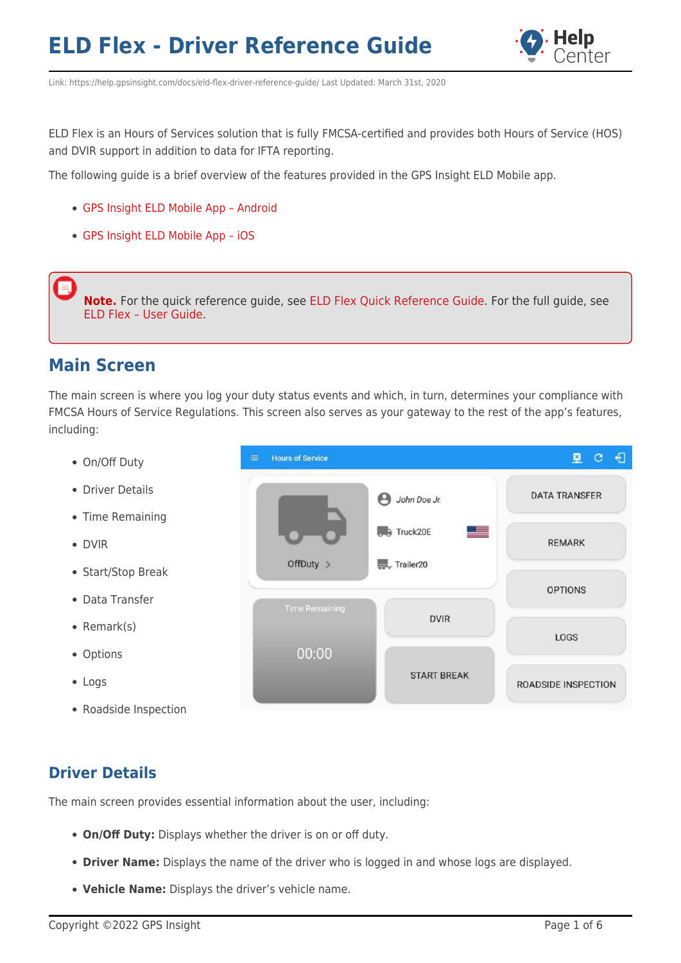

Link: https://help.gpsinsight.com/docs/eld-flex-driver-reference-guide/ Last Updated: March 31st, 2020

ELD Flex is an Hours of Services solution that is fully FMCSA-certified and provides both Hours of Service (HOS) and DVIR support in addition to data for IFTA reporting.

The following guide is a brief overview of the features provided in the GPS Insight ELD Mobile app.

- [GPS Insight ELD Mobile App Android](https://play.google.com/store/apps/details?id=com.gpsinsight.eld&hl=en_US&gl=US)
- [GPS Insight ELD Mobile App iOS](https://apps.apple.com/us/app/gps-insight-eld/id1486192932)

**Note.** For the quick reference guide, see [ELD Flex Quick Reference Guide.](https://help.gpsinsight.com/wp-content/uploads/2020/04/ELD-Flex-Quick-Reference-Guide.pdf.pdf) For the full guide, see [ELD Flex – User Guide](https://help.gpsinsight.com/wp-content/uploads/2020/04/GPS-Isight-ELD-Flex-User-Guide.pdf).

## **Main Screen**

The main screen is where you log your duty status events and which, in turn, determines your compliance with FMCSA Hours of Service Regulations. This screen also serves as your gateway to the rest of the app's features, including:

- On/Off Duty
- **Driver Details**
- Time Remaining
- DVIR
- Start/Stop Break
- Data Transfer
- Remark(s)
- Options
- Logs
- Roadside Inspection



### **Driver Details**

The main screen provides essential information about the user, including:

- **On/Off Duty:** Displays whether the driver is on or off duty.
- **Driver Name:** Displays the name of the driver who is logged in and whose logs are displayed.
- **Vehicle Name:** Displays the driver's vehicle name.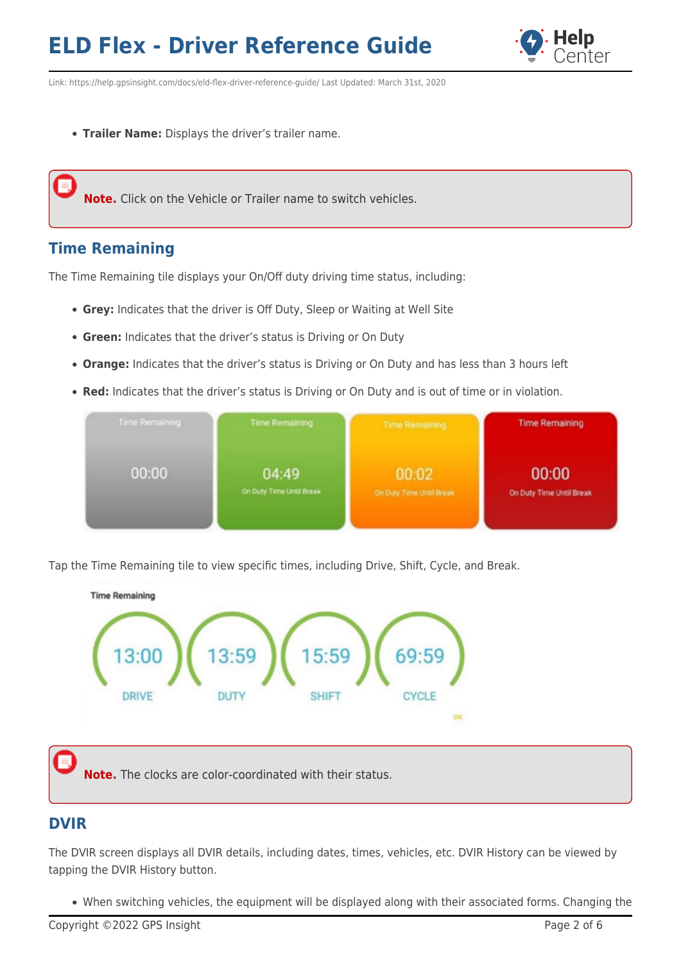

Link: https://help.gpsinsight.com/docs/eld-flex-driver-reference-guide/ Last Updated: March 31st, 2020

**Trailer Name:** Displays the driver's trailer name.

**Note.** Click on the Vehicle or Trailer name to switch vehicles.

## **Time Remaining**

The Time Remaining tile displays your On/Off duty driving time status, including:

- **Grey:** Indicates that the driver is Off Duty, Sleep or Waiting at Well Site
- **Green:** Indicates that the driver's status is Driving or On Duty
- **Orange:** Indicates that the driver's status is Driving or On Duty and has less than 3 hours left
- **Red:** Indicates that the driver's status is Driving or On Duty and is out of time or in violation.



Tap the Time Remaining tile to view specific times, including Drive, Shift, Cycle, and Break.



**Note.** The clocks are color-coordinated with their status.

## **DVIR**

The DVIR screen displays all DVIR details, including dates, times, vehicles, etc. DVIR History can be viewed by tapping the DVIR History button.

When switching vehicles, the equipment will be displayed along with their associated forms. Changing the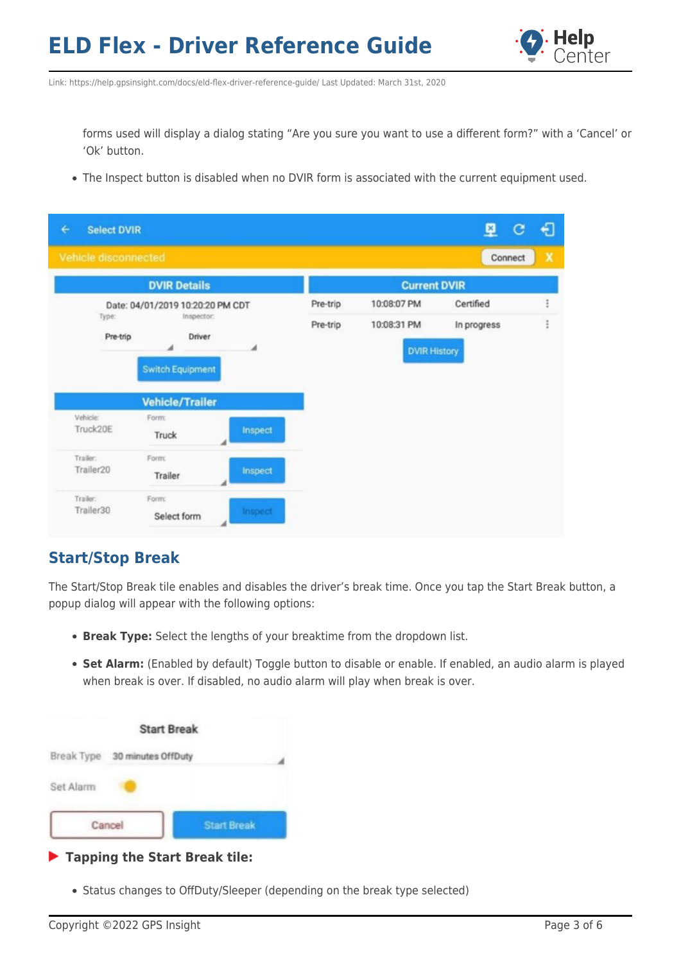

Link: https://help.gpsinsight.com/docs/eld-flex-driver-reference-guide/ Last Updated: March 31st, 2020

forms used will display a dialog stating "Are you sure you want to use a different form?" with a 'Cancel' or 'Ok' button.

The Inspect button is disabled when no DVIR form is associated with the current equipment used.

| €<br><b>Select DVIR</b> |                                                   |            |          |                     | 图<br>c      | € |
|-------------------------|---------------------------------------------------|------------|----------|---------------------|-------------|---|
| Vehicle disconnected    |                                                   |            |          |                     | Connect     | X |
|                         | <b>DVIR Details</b>                               |            |          | <b>Current DVIR</b> |             |   |
|                         | Date: 04/01/2019 10:20:20 PM CDT                  |            | Pre-trip | 10:08:07 PM         | Certified   |   |
| Type:                   |                                                   | Inspector: |          | 10:08:31 PM         | In progress |   |
|                         | <b>Switch Equipment</b><br><b>Vehicle/Trailer</b> | ◢          |          | <b>DVIR History</b> |             |   |
| Vehicle:<br>Truck20E    | Form:<br>Truck                                    | Inspect    |          |                     |             |   |
| Trailer:<br>Trailer20   | Form:<br>Trailer                                  | Inspect    |          |                     |             |   |
| Trailer:<br>Trailer30   | Form:<br>Select form                              | Inspect    |          |                     |             |   |

## **Start/Stop Break**

The Start/Stop Break tile enables and disables the driver's break time. Once you tap the Start Break button, a popup dialog will appear with the following options:

- **Break Type:** Select the lengths of your breaktime from the dropdown list.
- **Set Alarm:** (Enabled by default) Toggle button to disable or enable. If enabled, an audio alarm is played when break is over. If disabled, no audio alarm will play when break is over.

|            | <b>Start Break</b> |                    |
|------------|--------------------|--------------------|
| Break Type | 30 minutes OffDuty |                    |
| Set Alarm  |                    |                    |
|            | Cancel             | <b>Start Break</b> |

#### **Tapping the Start Break tile:**

• Status changes to OffDuty/Sleeper (depending on the break type selected)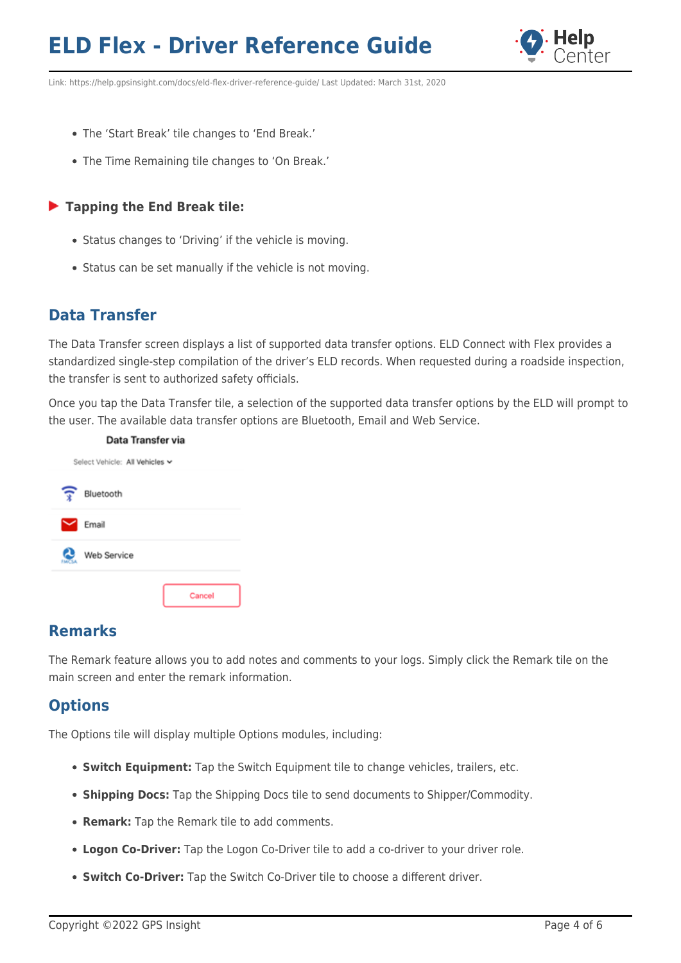

Link: https://help.gpsinsight.com/docs/eld-flex-driver-reference-guide/ Last Updated: March 31st, 2020

- The 'Start Break' tile changes to 'End Break.'
- The Time Remaining tile changes to 'On Break.'

#### **Tapping the End Break tile:**

- Status changes to 'Driving' if the vehicle is moving.
- Status can be set manually if the vehicle is not moving.

## **Data Transfer**

The Data Transfer screen displays a list of supported data transfer options. ELD Connect with Flex provides a standardized single-step compilation of the driver's ELD records. When requested during a roadside inspection, the transfer is sent to authorized safety officials.

Once you tap the Data Transfer tile, a selection of the supported data transfer options by the ELD will prompt to the user. The available data transfer options are Bluetooth, Email and Web Service.



### **Remarks**

The Remark feature allows you to add notes and comments to your logs. Simply click the Remark tile on the main screen and enter the remark information.

## **Options**

The Options tile will display multiple Options modules, including:

- **Switch Equipment:** Tap the Switch Equipment tile to change vehicles, trailers, etc.
- **Shipping Docs:** Tap the Shipping Docs tile to send documents to Shipper/Commodity.
- **Remark:** Tap the Remark tile to add comments.
- **Logon Co-Driver:** Tap the Logon Co-Driver tile to add a co-driver to your driver role.
- **Switch Co-Driver:** Tap the Switch Co-Driver tile to choose a different driver.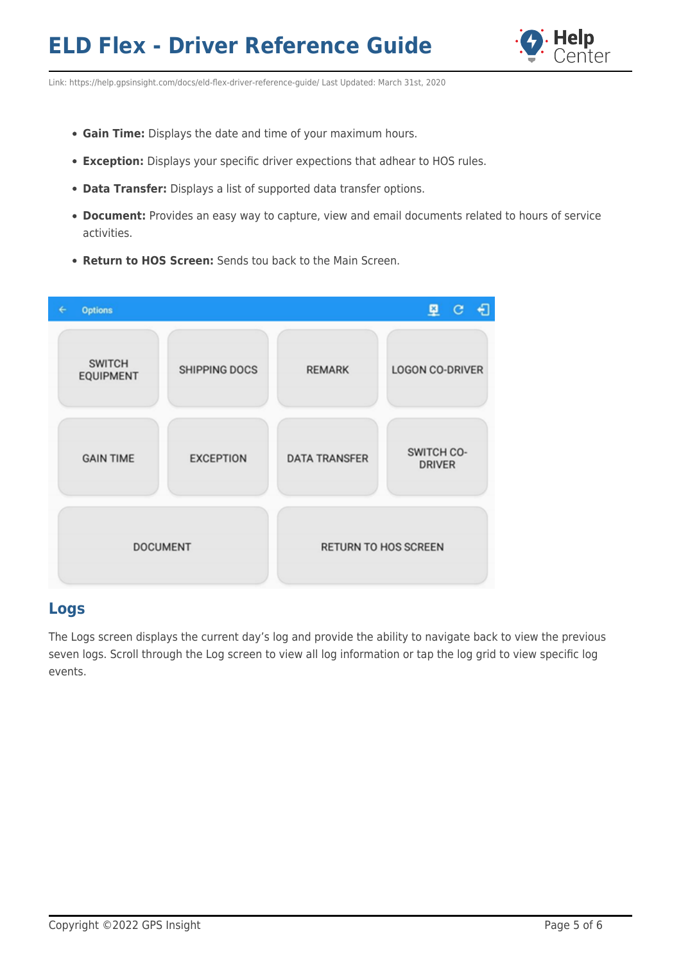

Link: https://help.gpsinsight.com/docs/eld-flex-driver-reference-guide/ Last Updated: March 31st, 2020

- **Gain Time:** Displays the date and time of your maximum hours.
- **Exception:** Displays your specific driver expections that adhear to HOS rules.
- **Data Transfer:** Displays a list of supported data transfer options.
- **Document:** Provides an easy way to capture, view and email documents related to hours of service activities.
- **Return to HOS Screen:** Sends tou back to the Main Screen.

|                  | <b>Options</b>                    |                      |                             | €<br>里口                     |  |
|------------------|-----------------------------------|----------------------|-----------------------------|-----------------------------|--|
|                  | <b>SWITCH</b><br><b>EQUIPMENT</b> | <b>SHIPPING DOCS</b> | <b>REMARK</b>               | <b>LOGON CO-DRIVER</b>      |  |
| <b>GAIN TIME</b> |                                   | <b>EXCEPTION</b>     | <b>DATA TRANSFER</b>        | SWITCH CO-<br><b>DRIVER</b> |  |
|                  | <b>DOCUMENT</b>                   |                      | <b>RETURN TO HOS SCREEN</b> |                             |  |

### **Logs**

The Logs screen displays the current day's log and provide the ability to navigate back to view the previous seven logs. Scroll through the Log screen to view all log information or tap the log grid to view specific log events.